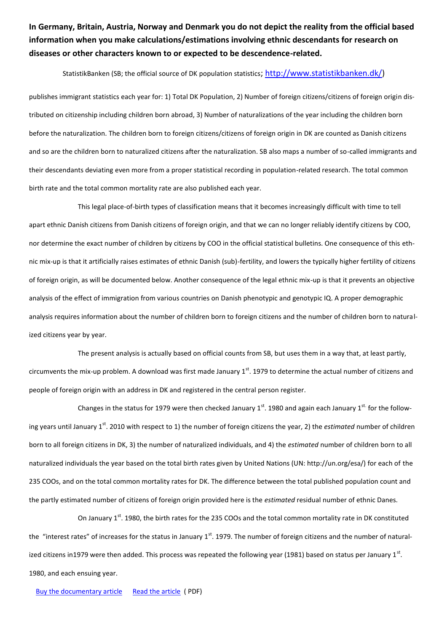**In Germany, Britain, Austria, Norway and Denmark you do not depict the reality from the official based information when you make calculations/estimations involving ethnic descendants for research on diseases or other characters known to or expected to be descendence-related.** 

## StatistikBanken (SB; the official source of DK population statistics; [http://www.statistikbanken.dk/\)](http://www.statistikbanken.dk/)

publishes immigrant statistics each year for: 1) Total DK Population, 2) Number of foreign citizens/citizens of foreign origin distributed on citizenship including children born abroad, 3) Number of naturalizations of the year including the children born before the naturalization. The children born to foreign citizens/citizens of foreign origin in DK are counted as Danish citizens and so are the children born to naturalized citizens after the naturalization. SB also maps a number of so-called immigrants and their descendants deviating even more from a proper statistical recording in population-related research. The total common birth rate and the total common mortality rate are also published each year.

This legal place-of-birth types of classification means that it becomes increasingly difficult with time to tell apart ethnic Danish citizens from Danish citizens of foreign origin, and that we can no longer reliably identify citizens by COO, nor determine the exact number of children by citizens by COO in the official statistical bulletins. One consequence of this ethnic mix-up is that it artificially raises estimates of ethnic Danish (sub)-fertility, and lowers the typically higher fertility of citizens of foreign origin, as will be documented below. Another consequence of the legal ethnic mix-up is that it prevents an objective analysis of the effect of immigration from various countries on Danish phenotypic and genotypic IQ. A proper demographic analysis requires information about the number of children born to foreign citizens and the number of children born to naturalized citizens year by year.

The present analysis is actually based on official counts from SB, but uses them in a way that, at least partly, circumvents the mix-up problem. A download was first made January 1st. 1979 to determine the actual number of citizens and people of foreign origin with an address in DK and registered in the central person register.

Changes in the status for 1979 were then checked January  $1^{st}$ . 1980 and again each January  $1^{st}$  for the following years until January 1<sup>st</sup>. 2010 with respect to 1) the number of foreign citizens the year, 2) the *estimated* number of children born to all foreign citizens in DK, 3) the number of naturalized individuals, and 4) the *estimated* number of children born to all naturalized individuals the year based on the total birth rates given by United Nations (UN: http://un.org/esa/) for each of the 235 COOs, and on the total common mortality rates for DK. The difference between the total published population count and the partly estimated number of citizens of foreign origin provided here is the *estimated* residual number of ethnic Danes.

On January 1<sup>st</sup>. 1980, the birth rates for the 235 COOs and the total common mortality rate in DK constituted the "interest rates" of increases for the status in January  $1<sup>st</sup>$ . 1979. The number of foreign citizens and the number of naturalized citizens in1979 were then added. This process was repeated the following year (1981) based on status per January 1st. 1980, and each ensuing year.